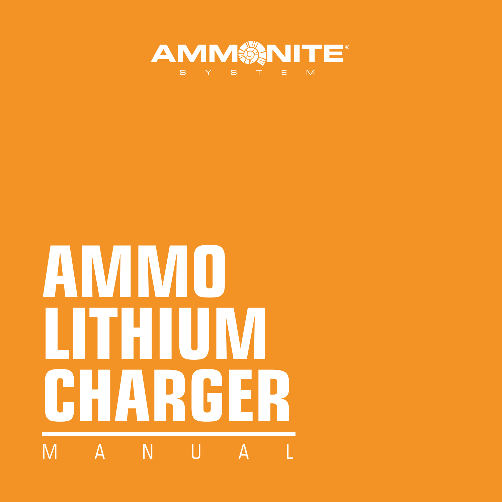

# **AMMO LITHIUM CHARGER** M A N II A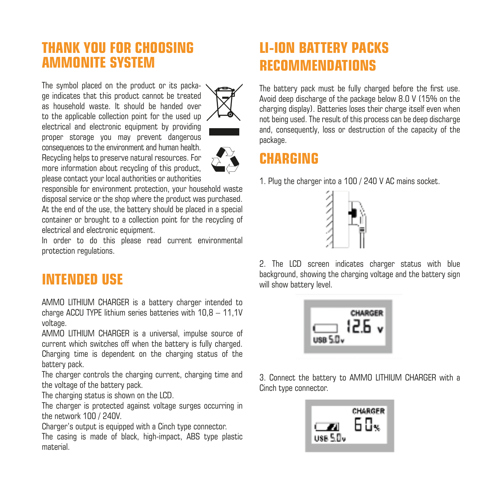#### **THANK YOU FOR CHOOSING AMMONITE SYSTEM**

The symbol placed on the product or its package indicates that this product cannot be treated as household waste. It should be handed over to the applicable collection point for the used up electrical and electronic equipment by providing proper storage you may prevent dangerous consequences to the environment and human health. Recycling helps to preserve natural resources. For more information about recycling of this product, please contact your local authorities or authorities





responsible for environment protection, your household waste disposal service or the shop where the product was purchased. At the end of the use, the battery should be placed in a special container or brought to a collection point for the recycling of electrical and electronic equipment.

In order to do this please read current environmental protection regulations.

#### **INTENDED USE**

AMMO LITHIUM CHARGER is a battery charger intended to charge ACCU TYPE lithium series batteries with 10,8 – 11,1V voltage.

AMMO LITHIUM CHARGER is a universal, impulse source of current which switches off when the battery is fully charged. Charging time is dependent on the charging status of the battery pack.

The charger controls the charging current, charging time and the voltage of the battery pack.

The charging status is shown on the LCD.

The charger is protected against voltage surges occurring in the network 100 / 240V.

Charger's output is equipped with a Cinch type connector.

The casing is made of black, high-impact, ABS type plastic material.

## **LI-ION BATTERY PACKS RECOMMENDATIONS**

The battery pack must be fully charged before the first use. Avoid deep discharge of the package below 8.0 V (15% on the charging display). Batteries loses their charge itself even when not being used. The result of this process can be deep discharge and, consequently, loss or destruction of the capacity of the package.

### **CHARGING**

1. Plug the charger into a 100 / 240 V AC mains socket.



2. The LCD screen indicates charger status with blue background, showing the charging voltage and the battery sign will show battery level.

| ×. |
|----|
|----|

3. Connect the battery to AMMO LITHIUM CHARGER with a Cinch type connector.

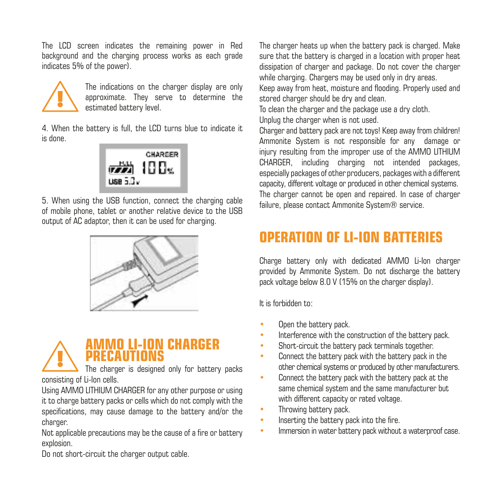The LCD screen indicates the remaining power in Red background and the charging process works as each grade indicates 5% of the power).



The indications on the charger display are only approximate. They serve to determine the estimated battery level.

4. When the battery is full, the LCD turns blue to indicate it is done.



5. When using the USB function, connect the charging cable of mobile phone, tablet or another relative device to the USB output of AC adaptor, then it can be used for charging.





consisting of Li-Ion cells.

Using AMMO LITHIUM CHARGER for any other purpose or using it to charge battery packs or cells which do not comply with the specifications, may cause damage to the battery and/or the charger.

Not applicable precautions may be the cause of a fire or battery explosion.

Do not short-circuit the charger output cable.

The charger heats up when the battery pack is charged. Make sure that the battery is charged in a location with proper heat dissipation of charger and package. Do not cover the charger while charging. Chargers may be used only in dry areas.

Keep away from heat, moisture and flooding. Properly used and stored charger should be dry and clean.

To clean the charger and the package use a dry cloth. Unplug the charger when is not used.

Charger and battery pack are not toys! Keep away from children! Ammonite System is not responsible for any damage or injury resulting from the improper use of the AMMO LITHIUM CHARGER, including charging not intended packages, especially packages of other producers, packages with a different capacity, different voltage or produced in other chemical systems. The charger cannot be open and repaired. In case of charger failure, please contact Ammonite System® service.

## **OPERATION OF LI-ION BATTERIES**

Charge battery only with dedicated AMMO Li-Ion charger provided by Ammonite System. Do not discharge the battery pack voltage below 8.0 V (15% on the charger display).

It is forbidden to:

- Open the battery pack.
- Interference with the construction of the battery pack.
- Short-circuit the battery pack terminals together.
- Connect the battery pack with the battery pack in the other chemical systems or produced by other manufacturers.
- Connect the battery pack with the battery pack at the same chemical system and the same manufacturer but with different capacity or rated voltage.
- Throwing battery pack.
- Inserting the battery pack into the fire.
- Immersion in water battery pack without a waterproof case.